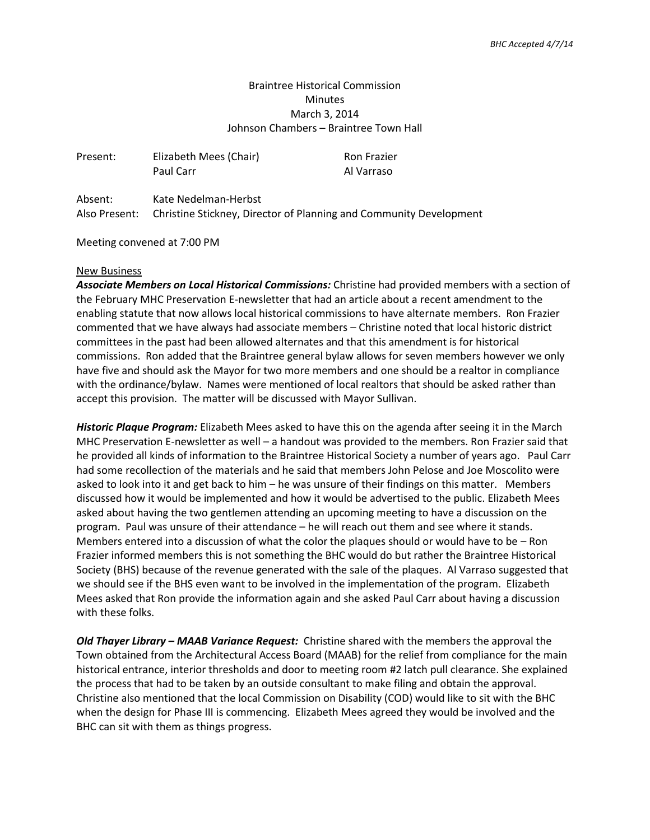# Braintree Historical Commission Minutes March 3, 2014 Johnson Chambers – Braintree Town Hall

| Present: | Elizabeth Mees (Chair)<br>Paul Carr | <b>Ron Frazier</b><br>Al Varraso |
|----------|-------------------------------------|----------------------------------|
| Absent:  | Kate Nedelman-Herbst                |                                  |

Also Present: Christine Stickney, Director of Planning and Community Development

Meeting convened at 7:00 PM

# New Business

*Associate Members on Local Historical Commissions:* Christine had provided members with a section of the February MHC Preservation E-newsletter that had an article about a recent amendment to the enabling statute that now allows local historical commissions to have alternate members. Ron Frazier commented that we have always had associate members – Christine noted that local historic district committees in the past had been allowed alternates and that this amendment is for historical commissions. Ron added that the Braintree general bylaw allows for seven members however we only have five and should ask the Mayor for two more members and one should be a realtor in compliance with the ordinance/bylaw. Names were mentioned of local realtors that should be asked rather than accept this provision. The matter will be discussed with Mayor Sullivan.

*Historic Plaque Program:* Elizabeth Mees asked to have this on the agenda after seeing it in the March MHC Preservation E-newsletter as well – a handout was provided to the members. Ron Frazier said that he provided all kinds of information to the Braintree Historical Society a number of years ago. Paul Carr had some recollection of the materials and he said that members John Pelose and Joe Moscolito were asked to look into it and get back to him – he was unsure of their findings on this matter. Members discussed how it would be implemented and how it would be advertised to the public. Elizabeth Mees asked about having the two gentlemen attending an upcoming meeting to have a discussion on the program. Paul was unsure of their attendance – he will reach out them and see where it stands. Members entered into a discussion of what the color the plaques should or would have to be – Ron Frazier informed members this is not something the BHC would do but rather the Braintree Historical Society (BHS) because of the revenue generated with the sale of the plaques. Al Varraso suggested that we should see if the BHS even want to be involved in the implementation of the program. Elizabeth Mees asked that Ron provide the information again and she asked Paul Carr about having a discussion with these folks.

*Old Thayer Library – MAAB Variance Request:* Christine shared with the members the approval the Town obtained from the Architectural Access Board (MAAB) for the relief from compliance for the main historical entrance, interior thresholds and door to meeting room #2 latch pull clearance. She explained the process that had to be taken by an outside consultant to make filing and obtain the approval. Christine also mentioned that the local Commission on Disability (COD) would like to sit with the BHC when the design for Phase III is commencing. Elizabeth Mees agreed they would be involved and the BHC can sit with them as things progress.